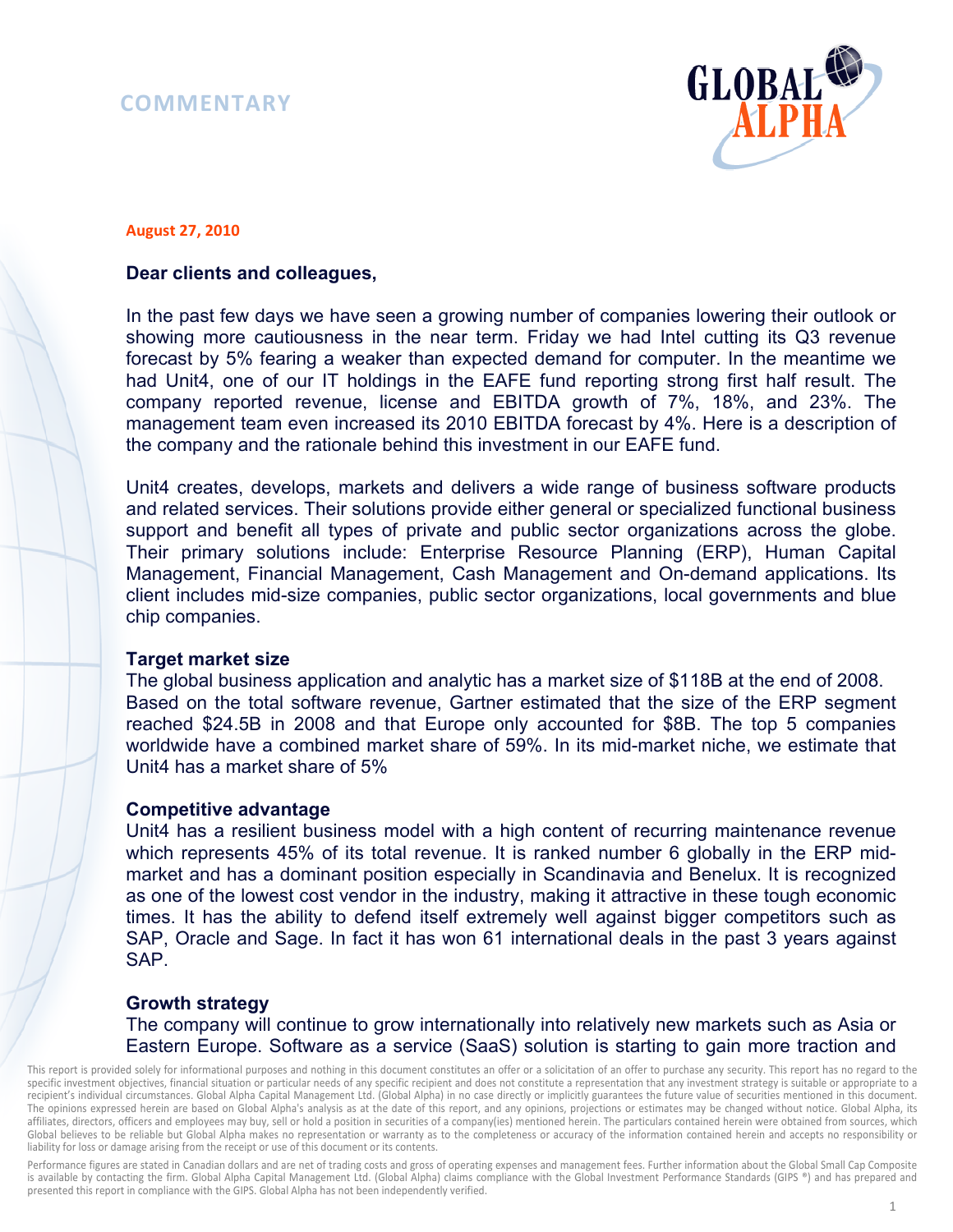# **COMMENTARY**



#### **August 27, 2010**

# **Dear clients and colleagues,**

In the past few days we have seen a growing number of companies lowering their outlook or showing more cautiousness in the near term. Friday we had Intel cutting its Q3 revenue forecast by 5% fearing a weaker than expected demand for computer. In the meantime we had Unit4, one of our IT holdings in the EAFE fund reporting strong first half result. The company reported revenue, license and EBITDA growth of 7%, 18%, and 23%. The management team even increased its 2010 EBITDA forecast by 4%. Here is a description of the company and the rationale behind this investment in our EAFE fund.

Unit4 creates, develops, markets and delivers a wide range of business software products and related services. Their solutions provide either general or specialized functional business support and benefit all types of private and public sector organizations across the globe. Their primary solutions include: Enterprise Resource Planning (ERP), Human Capital Management, Financial Management, Cash Management and On-demand applications. Its client includes mid-size companies, public sector organizations, local governments and blue chip companies.

## **Target market size**

The global business application and analytic has a market size of \$118B at the end of 2008. Based on the total software revenue, Gartner estimated that the size of the ERP segment reached \$24.5B in 2008 and that Europe only accounted for \$8B. The top 5 companies worldwide have a combined market share of 59%. In its mid-market niche, we estimate that Unit4 has a market share of 5%

## **Competitive advantage**

Unit4 has a resilient business model with a high content of recurring maintenance revenue which represents 45% of its total revenue. It is ranked number 6 globally in the ERP midmarket and has a dominant position especially in Scandinavia and Benelux. It is recognized as one of the lowest cost vendor in the industry, making it attractive in these tough economic times. It has the ability to defend itself extremely well against bigger competitors such as SAP, Oracle and Sage. In fact it has won 61 international deals in the past 3 years against SAP.

# **Growth strategy**

The company will continue to grow internationally into relatively new markets such as Asia or Eastern Europe. Software as a service (SaaS) solution is starting to gain more traction and

This report is provided solely for informational purposes and nothing in this document constitutes an offer or a solicitation of an offer to purchase any security. This report has no regard to the specific investment objectives, financial situation or particular needs of any specific recipient and does not constitute a representation that any investment strategy is suitable or appropriate to a recipient's individual circumstances. Global Alpha Capital Management Ltd. (Global Alpha) in no case directly or implicitly guarantees the future value of securities mentioned in this document. The opinions expressed herein are based on Global Alpha's analysis as at the date of this report, and any opinions, projections or estimates may be changed without notice. Global Alpha, its affiliates, directors, officers and employees may buy, sell or hold a position in securities of a company(ies) mentioned herein. The particulars contained herein were obtained from sources, which Global believes to be reliable but Global Alpha makes no representation or warranty as to the completeness or accuracy of the information contained herein and accepts no responsibility or liability for loss or damage arising from the receipt or use of this document or its contents.

Performance figures are stated in Canadian dollars and are net of trading costs and gross of operating expenses and management fees. Further information about the Global Small Cap Composite is available by contacting the firm. Global Alpha Capital Management Ltd. (Global Alpha) claims compliance with the Global Investment Performance Standards (GIPS ®) and has prepared and presented this report in compliance with the GIPS. Global Alpha has not been independently verified.